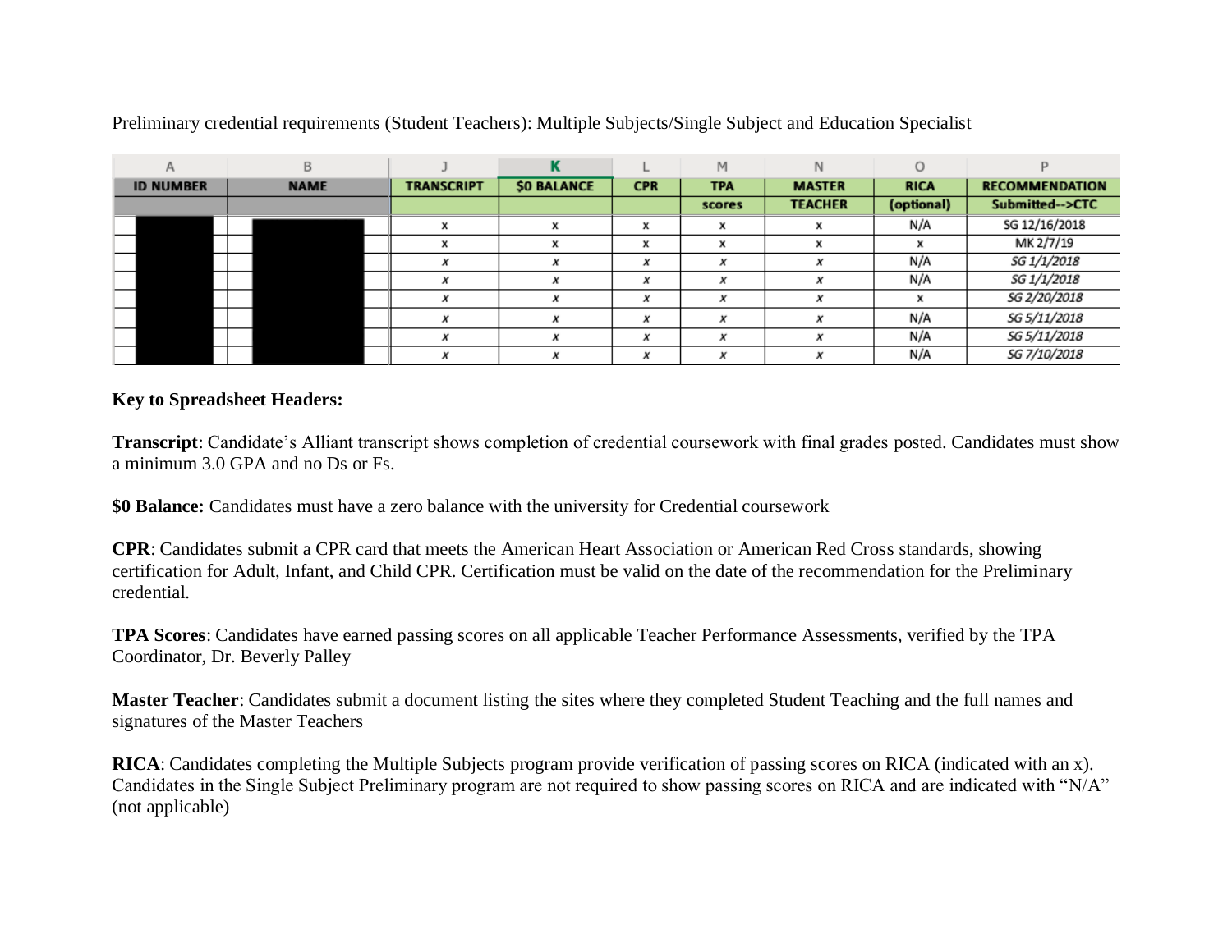| A                | B           |                   |             |            | M          | N              |             |                       |
|------------------|-------------|-------------------|-------------|------------|------------|----------------|-------------|-----------------------|
| <b>ID NUMBER</b> | <b>NAME</b> | <b>TRANSCRIPT</b> | \$0 BALANCE | <b>CPR</b> | <b>TPA</b> | <b>MASTER</b>  | <b>RICA</b> | <b>RECOMMENDATION</b> |
|                  |             |                   |             |            | scores     | <b>TEACHER</b> | (optional)  | Submitted-->CTC       |
|                  |             | X                 | x           | X          | x          | x              | N/A         | SG 12/16/2018         |
|                  |             | x                 |             | x          | x          | x              | x           | MK 2/7/19             |
|                  |             |                   |             | x          | x          |                | N/A         | SG 1/1/2018           |
|                  |             |                   |             | x          | х          | x              | N/A         | SG 1/1/2018           |
|                  |             | x                 |             | x          | x          | x              | x           | SG 2/20/2018          |
|                  |             |                   |             | x          | x          | x              | N/A         | SG 5/11/2018          |
|                  |             |                   |             | x          | x          | x              | N/A         | SG 5/11/2018          |
|                  |             | x                 |             | x          | x          | x              | N/A         | SG 7/10/2018          |

Preliminary credential requirements (Student Teachers): Multiple Subjects/Single Subject and Education Specialist

## **Key to Spreadsheet Headers:**

**Transcript**: Candidate's Alliant transcript shows completion of credential coursework with final grades posted. Candidates must show a minimum 3.0 GPA and no Ds or Fs.

**\$0 Balance:** Candidates must have a zero balance with the university for Credential coursework

**CPR**: Candidates submit a CPR card that meets the American Heart Association or American Red Cross standards, showing certification for Adult, Infant, and Child CPR. Certification must be valid on the date of the recommendation for the Preliminary credential.

**TPA Scores**: Candidates have earned passing scores on all applicable Teacher Performance Assessments, verified by the TPA Coordinator, Dr. Beverly Palley

**Master Teacher**: Candidates submit a document listing the sites where they completed Student Teaching and the full names and signatures of the Master Teachers

**RICA**: Candidates completing the Multiple Subjects program provide verification of passing scores on RICA (indicated with an x). Candidates in the Single Subject Preliminary program are not required to show passing scores on RICA and are indicated with "N/A" (not applicable)